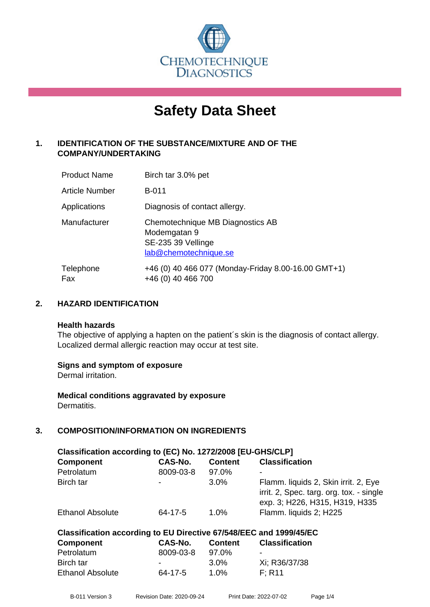

# **Safety Data Sheet**

# **1. IDENTIFICATION OF THE SUBSTANCE/MIXTURE AND OF THE COMPANY/UNDERTAKING**

| <b>Product Name</b>   | Birch tar 3.0% pet                                                                              |
|-----------------------|-------------------------------------------------------------------------------------------------|
| <b>Article Number</b> | <b>B-011</b>                                                                                    |
| Applications          | Diagnosis of contact allergy.                                                                   |
| Manufacturer          | Chemotechnique MB Diagnostics AB<br>Modemgatan 9<br>SE-235 39 Vellinge<br>lab@chemotechnique.se |
| Telephone<br>Fax      | +46 (0) 40 466 077 (Monday-Friday 8.00-16.00 GMT+1)<br>+46 (0) 40 466 700                       |

# **2. HAZARD IDENTIFICATION**

#### **Health hazards**

The objective of applying a hapten on the patient's skin is the diagnosis of contact allergy. Localized dermal allergic reaction may occur at test site.

# **Signs and symptom of exposure**

Dermal irritation.

**Medical conditions aggravated by exposure** Dermatitis.

# **3. COMPOSITION/INFORMATION ON INGREDIENTS**

| Classification according to (EC) No. 1272/2008 [EU-GHS/CLP]        |                |                |                                                                                                                    |  |  |  |
|--------------------------------------------------------------------|----------------|----------------|--------------------------------------------------------------------------------------------------------------------|--|--|--|
| <b>Component</b>                                                   | <b>CAS-No.</b> | <b>Content</b> | <b>Classification</b>                                                                                              |  |  |  |
| Petrolatum                                                         | 8009-03-8      | 97.0%          | ۰                                                                                                                  |  |  |  |
| Birch tar                                                          |                | 3.0%           | Flamm. liquids 2, Skin irrit. 2, Eye<br>irrit. 2, Spec. targ. org. tox. - single<br>exp. 3; H226, H315, H319, H335 |  |  |  |
| <b>Ethanol Absolute</b>                                            | 64-17-5        | $1.0\%$        | Flamm. liquids 2; H225                                                                                             |  |  |  |
| Classification according to EU Directive 67/548/EEC and 1999/45/EC |                |                |                                                                                                                    |  |  |  |
| <b>Component</b>                                                   | <b>CAS-No.</b> | <b>Content</b> | <b>Classification</b>                                                                                              |  |  |  |
| Petrolatum                                                         | 8009-03-8      | 97.0%          | $\overline{\phantom{a}}$                                                                                           |  |  |  |

| 1 UU UKUU 11     | uuu uu u |         |               |
|------------------|----------|---------|---------------|
| Birch tar        | ٠        | $3.0\%$ | Xi; R36/37/38 |
| Ethanol Absolute | 64-17-5  | $1.0\%$ | F: R11        |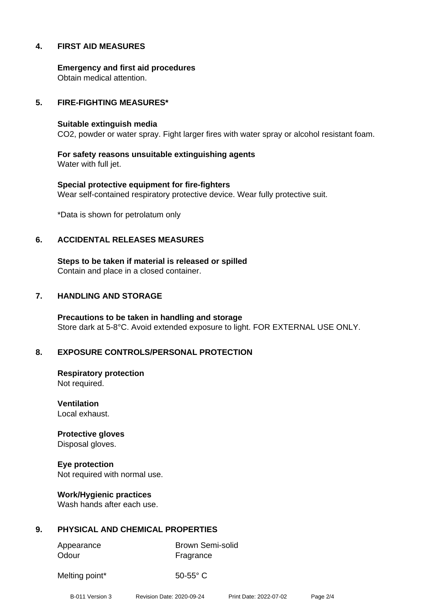# **4. FIRST AID MEASURES**

**Emergency and first aid procedures** Obtain medical attention.

#### **5. FIRE-FIGHTING MEASURES\***

#### **Suitable extinguish media**

CO2, powder or water spray. Fight larger fires with water spray or alcohol resistant foam.

**For safety reasons unsuitable extinguishing agents** Water with full jet.

**Special protective equipment for fire-fighters** Wear self-contained respiratory protective device. Wear fully protective suit.

\*Data is shown for petrolatum only

#### **6. ACCIDENTAL RELEASES MEASURES**

**Steps to be taken if material is released or spilled** Contain and place in a closed container.

#### **7. HANDLING AND STORAGE**

**Precautions to be taken in handling and storage** Store dark at 5-8°C. Avoid extended exposure to light. FOR EXTERNAL USE ONLY.

# **8. EXPOSURE CONTROLS/PERSONAL PROTECTION**

**Respiratory protection** Not required.

**Ventilation** Local exhaust.

**Protective gloves** Disposal gloves.

**Eye protection** Not required with normal use.

**Work/Hygienic practices** Wash hands after each use.

# **9. PHYSICAL AND CHEMICAL PROPERTIES**

Odour **Fragrance** 

Appearance Brown Semi-solid

Melting point\* 50-55° C

B-011 Version 3 Revision Date: 2020-09-24 Print Date: 2022-07-02 Page 2/4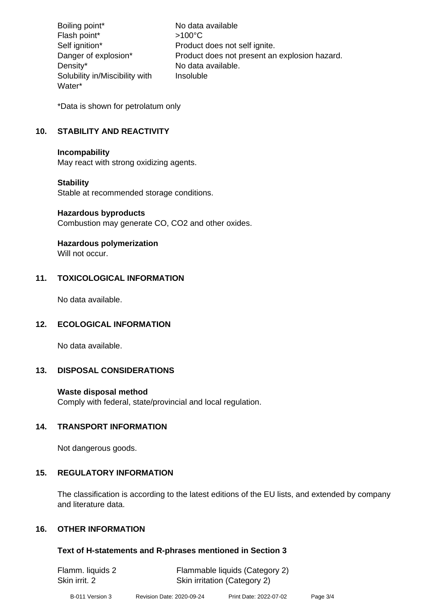Boiling point\* No data available Flash point\* >100°C Self ignition\* Product does not self ignite. Danger of explosion\* Product does not present an explosion hazard. Density\* No data available. Solubility in/Miscibility with Water\* Insoluble

\*Data is shown for petrolatum only

# **10. STABILITY AND REACTIVITY**

#### **Incompability**

May react with strong oxidizing agents.

# **Stability**

Stable at recommended storage conditions.

#### **Hazardous byproducts**

Combustion may generate CO, CO2 and other oxides.

# **Hazardous polymerization**

Will not occur.

# **11. TOXICOLOGICAL INFORMATION**

No data available.

# **12. ECOLOGICAL INFORMATION**

No data available.

# **13. DISPOSAL CONSIDERATIONS**

# **Waste disposal method**

Comply with federal, state/provincial and local regulation.

# **14. TRANSPORT INFORMATION**

Not dangerous goods.

# **15. REGULATORY INFORMATION**

The classification is according to the latest editions of the EU lists, and extended by company and literature data.

# **16. OTHER INFORMATION**

# **Text of H-statements and R-phrases mentioned in Section 3**

| Flamm. liquids 2 | Flammable liquids (Category 2) |
|------------------|--------------------------------|
| Skin irrit. 2    | Skin irritation (Category 2)   |
|                  |                                |